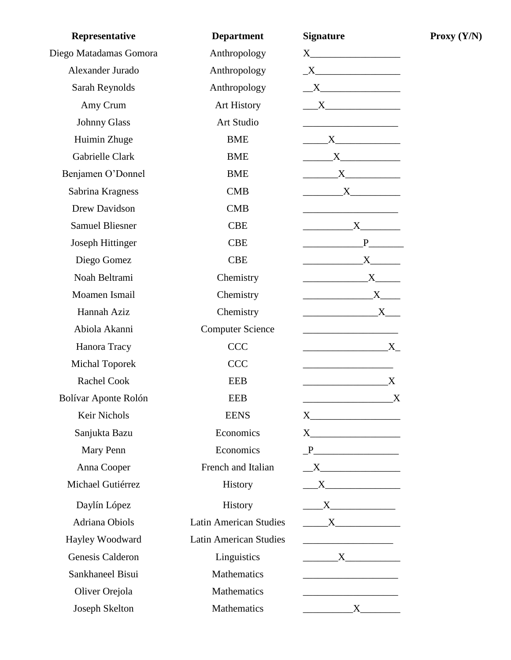| Representative          | <b>Department</b>             | <b>Signature</b>                                                                                                                                                                                                                                                                                                                                                           |  |
|-------------------------|-------------------------------|----------------------------------------------------------------------------------------------------------------------------------------------------------------------------------------------------------------------------------------------------------------------------------------------------------------------------------------------------------------------------|--|
| Diego Matadamas Gomora  | Anthropology                  |                                                                                                                                                                                                                                                                                                                                                                            |  |
| Alexander Jurado        | Anthropology                  | $\underline{\begin{picture}(15,15) \put(0,0){\dashbox{0.5}(10,0){ }} \put(15,0){\dashbox{0.5}(10,0){ }} \put(15,0){\dashbox{0.5}(10,0){ }} \put(15,0){\dashbox{0.5}(10,0){ }} \put(15,0){\dashbox{0.5}(10,0){ }} \put(15,0){\dashbox{0.5}(10,0){ }} \put(15,0){\dashbox{0.5}(10,0){ }} \put(15,0){\dashbox{0.5}(10,0){ }} \put(15,0){\dashbox{0.5}(10,0){ }} \put(15,0){\$ |  |
| Sarah Reynolds          | Anthropology                  | X                                                                                                                                                                                                                                                                                                                                                                          |  |
| Amy Crum                | <b>Art History</b>            | $\overline{\text{X}}$                                                                                                                                                                                                                                                                                                                                                      |  |
| <b>Johnny Glass</b>     | Art Studio                    |                                                                                                                                                                                                                                                                                                                                                                            |  |
| Huimin Zhuge            | <b>BME</b>                    | $\begin{array}{c}\nX\n\end{array}$                                                                                                                                                                                                                                                                                                                                         |  |
| Gabrielle Clark         | <b>BME</b>                    |                                                                                                                                                                                                                                                                                                                                                                            |  |
| Benjamen O'Donnel       | <b>BME</b>                    | $\overline{\mathbf{X}}$                                                                                                                                                                                                                                                                                                                                                    |  |
| Sabrina Kragness        | <b>CMB</b>                    | $\begin{array}{c} \begin{array}{c} \text{X} \end{array} \end{array}$                                                                                                                                                                                                                                                                                                       |  |
| Drew Davidson           | <b>CMB</b>                    |                                                                                                                                                                                                                                                                                                                                                                            |  |
| <b>Samuel Bliesner</b>  | <b>CBE</b>                    | $\mathbf{X}$                                                                                                                                                                                                                                                                                                                                                               |  |
| <b>Joseph Hittinger</b> | <b>CBE</b>                    | $P$ and the set of $P$ and $P$ and $P$                                                                                                                                                                                                                                                                                                                                     |  |
| Diego Gomez             | <b>CBE</b>                    | $\begin{array}{c}\nX\n\end{array}$                                                                                                                                                                                                                                                                                                                                         |  |
| Noah Beltrami           | Chemistry                     | $\begin{array}{c} \begin{array}{c} \text{---} \\ \text{---} \end{array} \\ \begin{array}{c} \text{---} \end{array} \\ \begin{array}{c} \text{---} \end{array} \\ \begin{array}{c} \text{---} \end{array} \end{array}$                                                                                                                                                      |  |
| Moamen Ismail           | Chemistry                     | $\mathbf{X}$ and $\mathbf{X}$ and $\mathbf{X}$ and $\mathbf{X}$ and $\mathbf{X}$ and $\mathbf{X}$ and $\mathbf{X}$ and $\mathbf{X}$ and $\mathbf{X}$ and $\mathbf{X}$ and $\mathbf{X}$ and $\mathbf{X}$ and $\mathbf{X}$ and $\mathbf{X}$ and $\mathbf{X}$ and $\mathbf{X}$ and $\mathbf{X}$ and                                                                           |  |
| Hannah Aziz             | Chemistry                     | $\mathbf{X}$ and $\mathbf{X}$ and $\mathbf{X}$ and $\mathbf{X}$ and $\mathbf{X}$ and $\mathbf{X}$ and $\mathbf{X}$ and $\mathbf{X}$ and $\mathbf{X}$ and $\mathbf{X}$ and $\mathbf{X}$ and $\mathbf{X}$ and $\mathbf{X}$ and $\mathbf{X}$ and $\mathbf{X}$ and $\mathbf{X}$ and $\mathbf{X}$ and                                                                           |  |
| Abiola Akanni           | <b>Computer Science</b>       | <u> 1989 - Johann Barbara, martin amerikan basar da</u>                                                                                                                                                                                                                                                                                                                    |  |
| Hanora Tracy            | <b>CCC</b>                    | $X_{-}$                                                                                                                                                                                                                                                                                                                                                                    |  |
| <b>Michal Toporek</b>   | <b>CCC</b>                    |                                                                                                                                                                                                                                                                                                                                                                            |  |
| <b>Rachel Cook</b>      | <b>EEB</b>                    | $\boldsymbol{\mathrm{X}}$<br><u> 1989 - Johann Barn, mars eta bat e</u>                                                                                                                                                                                                                                                                                                    |  |
| Bolívar Aponte Rolón    | <b>EEB</b>                    | X                                                                                                                                                                                                                                                                                                                                                                          |  |
| Keir Nichols            | <b>EENS</b>                   |                                                                                                                                                                                                                                                                                                                                                                            |  |
| Sanjukta Bazu           | Economics                     |                                                                                                                                                                                                                                                                                                                                                                            |  |
| Mary Penn               | Economics                     |                                                                                                                                                                                                                                                                                                                                                                            |  |
| Anna Cooper             | French and Italian            | $\overline{\phantom{a}}$ X                                                                                                                                                                                                                                                                                                                                                 |  |
| Michael Gutiérrez       | History                       | $\overline{\phantom{a}}$ X                                                                                                                                                                                                                                                                                                                                                 |  |
| Daylín López            | History                       |                                                                                                                                                                                                                                                                                                                                                                            |  |
| <b>Adriana Obiols</b>   | <b>Latin American Studies</b> | $\overline{\mathbf{X}}$                                                                                                                                                                                                                                                                                                                                                    |  |
| Hayley Woodward         | <b>Latin American Studies</b> | <u> 1989 - Johann Barbara, martin basalar p</u>                                                                                                                                                                                                                                                                                                                            |  |
| Genesis Calderon        | Linguistics                   | $\overline{\mathbf{X}}$                                                                                                                                                                                                                                                                                                                                                    |  |
| Sankhaneel Bisui        | <b>Mathematics</b>            | <u> 1989 - Johann Barbara, martin a</u>                                                                                                                                                                                                                                                                                                                                    |  |
| Oliver Orejola          | <b>Mathematics</b>            | <u> 1980 - Johann Barn, mars an t-Amerikaansk ferstjer op de oars</u>                                                                                                                                                                                                                                                                                                      |  |
| Joseph Skelton          | Mathematics                   | $\overline{\mathbf{X}}$                                                                                                                                                                                                                                                                                                                                                    |  |

**Proxy (Y/N)**